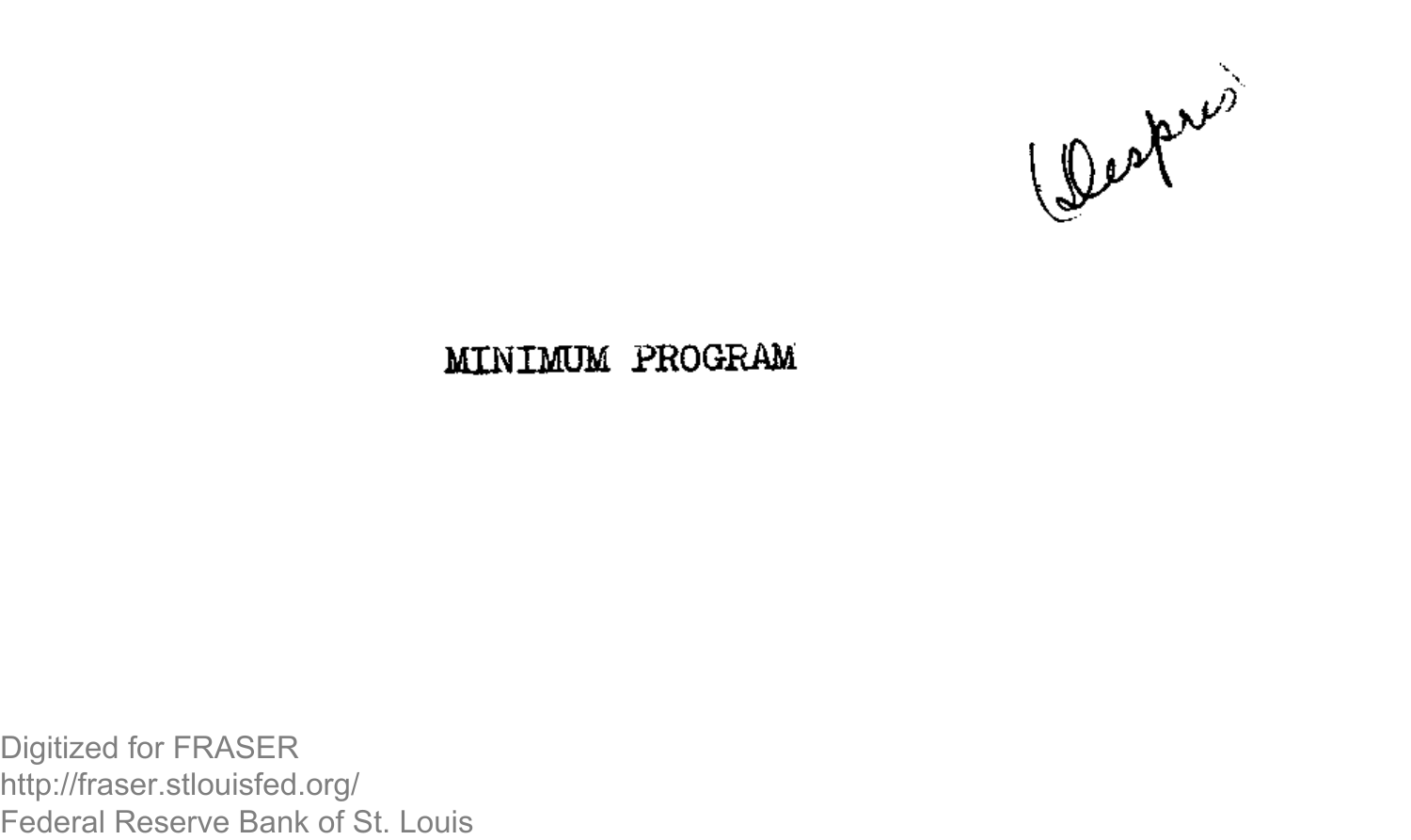

## **MINIMUM PROGRAM**

Digitized for FRASER http://fraser.stlouisfed.org/ Federal Reserve Bank of St. Louis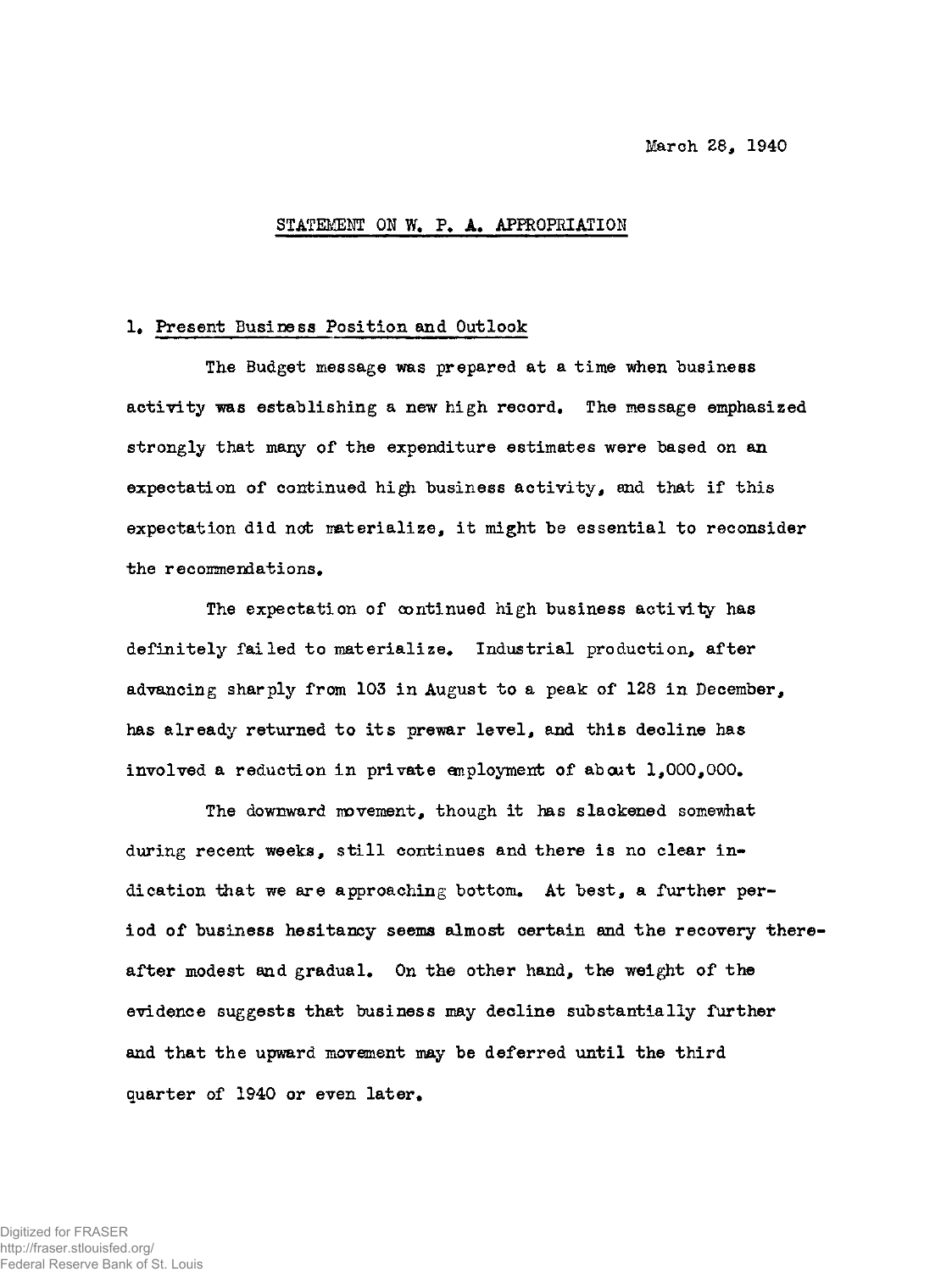## STATEMENT ON W. P. A. APPROPRIATION

#### **1. Present Business Position and Outlook**

**The Budget message was prepared at a time when business activity was establishing a new high record. The message emphasized strongly that many of the expenditure estimates were based on an expectation of continued high, business activity, and that if this expectation did not materialize, it might be essential to reconsider**  the recommendations.

**The expectation of continued high business activity has definitely failed to materialize\* Industrial production, after advancing sharply from 103 in August to a peak of 128 in December, has already returned to its prewar level, and this decline has involved a reduction in private employment of about 1,000,000,** 

**The downward movement, though it has slackened somewhat during recent weeks, still continues and there is no clear in**dication that we are approaching bottom. At best, a further per**iod of business hesitancy seems almost certain and the recovery thereafter modest and gradual\* On the other hand, the weight of the evidence suggests that business may decline substantially further and that the upward movement may be deferred until the third quarter of 1940 or even later.**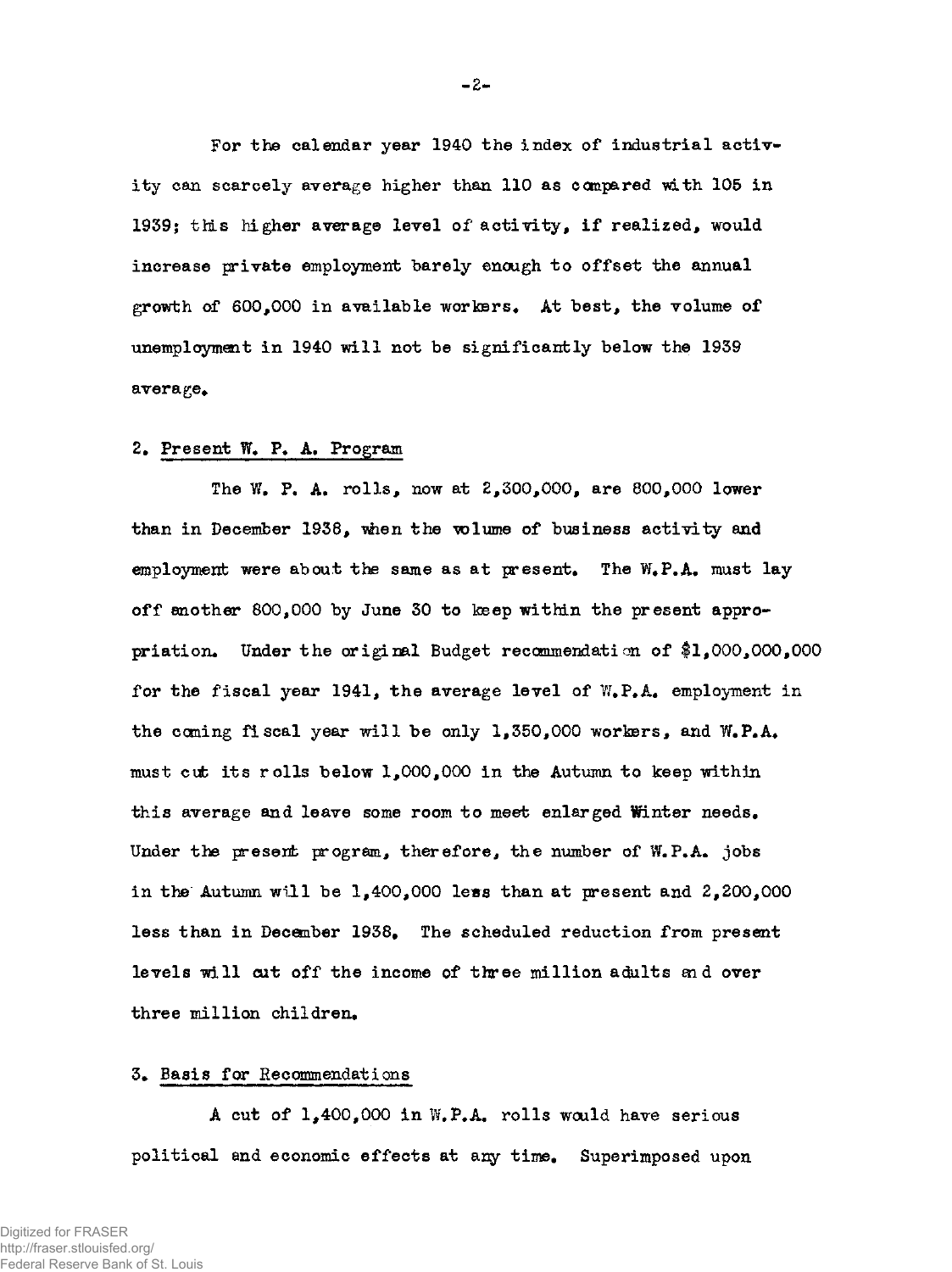**For the calendar year 1940 the index of industrial activity can scarcely average higher than 110 as compared with 105 in 1939; this higher average level of activity, if realized, would increase private employment barely enough to offset the annual growth of 600,000 in available workers\* At best, the volume of unemployment in 1940 will not be significantly below the 1939 average\*** 

# **2. Present W» P. A. Program**

**The W. P. A. rolls, now at 2,300,000, are 800,000 lower than in December 1938, when the •volume of business activity and employment were about the same as at present. The** W**.P.A. must lay off another 800,000 by June 30 to keep within the present appropriation. Under the original Budget recommendation of #1,000,000,000 for the fiscal year 1941, the average level of W.P.A. employment in the coming fiscal year will be only 1,350,000 workers, and** W**.P.A. must** *cxfc* **its rolls below 1,000,000 in the Autumn to keep within this average and leave some room to meet enlarged Winter needs. Under the present program, therefore, the number of W.P.A. jobs in the Autumn will be 1,400,000 le^s than at present and 2,200,000 less than in December 1938# The scheduled reduction from present levels will cut off the income of three million adults and over three million children.** 

## **3. Basis for Recommendations**

**A cut of 1,400,000 in** W**.P.A. rolls would have serious political and economic effects at any time. Superimposed upon**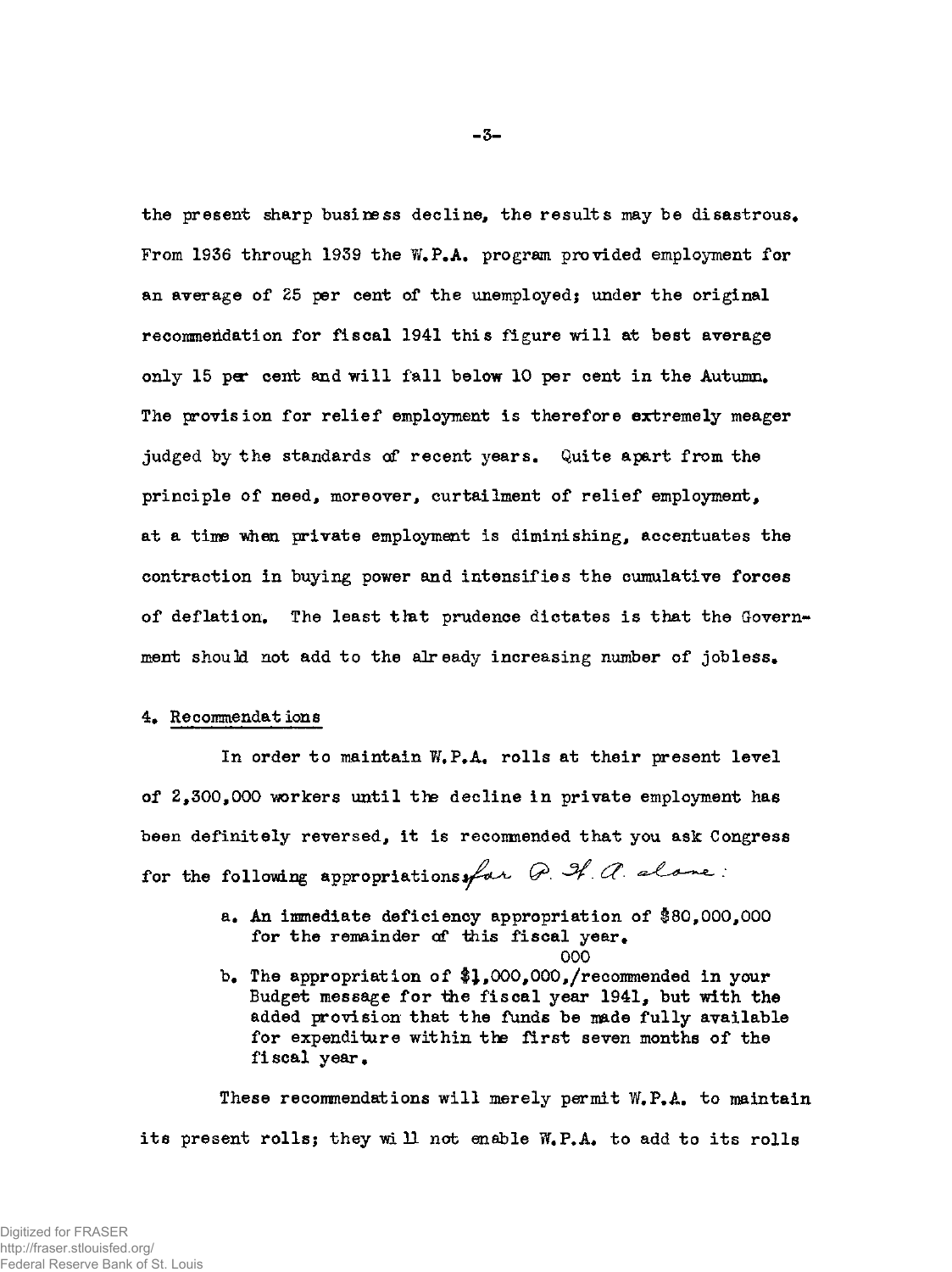the present sharp business decline, the results may be disastrous. From 1936 through 1939 the W.P.A. program provided employment for **an average of 25 per cent of the unemployed; under the original recommendation for fiscal 1941 this figure will at best average only 15 per cent and will fall below 10 per cent in the Autumn. The provision for relief employment is therefore extremely meager**  judged by the standards of recent years. Quite apart from the **principle of need, moreover, curtailment of relief employment, at a time when private employment is diminishing, accentuates the contraction in buying power and intensifies the cumulative forces of deflation. The least that prudence dictates is that the Govern**ment should not add to the already increasing number of jobless.

# **4. Recommendat ions**

**In order to maintain W#P.A. rolls at their present level of 2,300,000 workers until the decline in private employment has been definitely reversed, it is recommended that you ask Congress**  for the following appropriations for P. I. alone:

- **a. An immediate deficiency appropriation of \$80,000,000**  for the remainder of this fiscal year.
- b. The appropriation of \$1,000,000,/recommended in your **Budget message for the fiscal year 1941, but with the added provision that the funds be made fully available for expenditure within the first seven months of the fiscal year.**

000

**These recommendations will merely permit W.P.A. to maintain**  its present rolls; they will not enable W.P.A. to add to its rolls

 $-3-$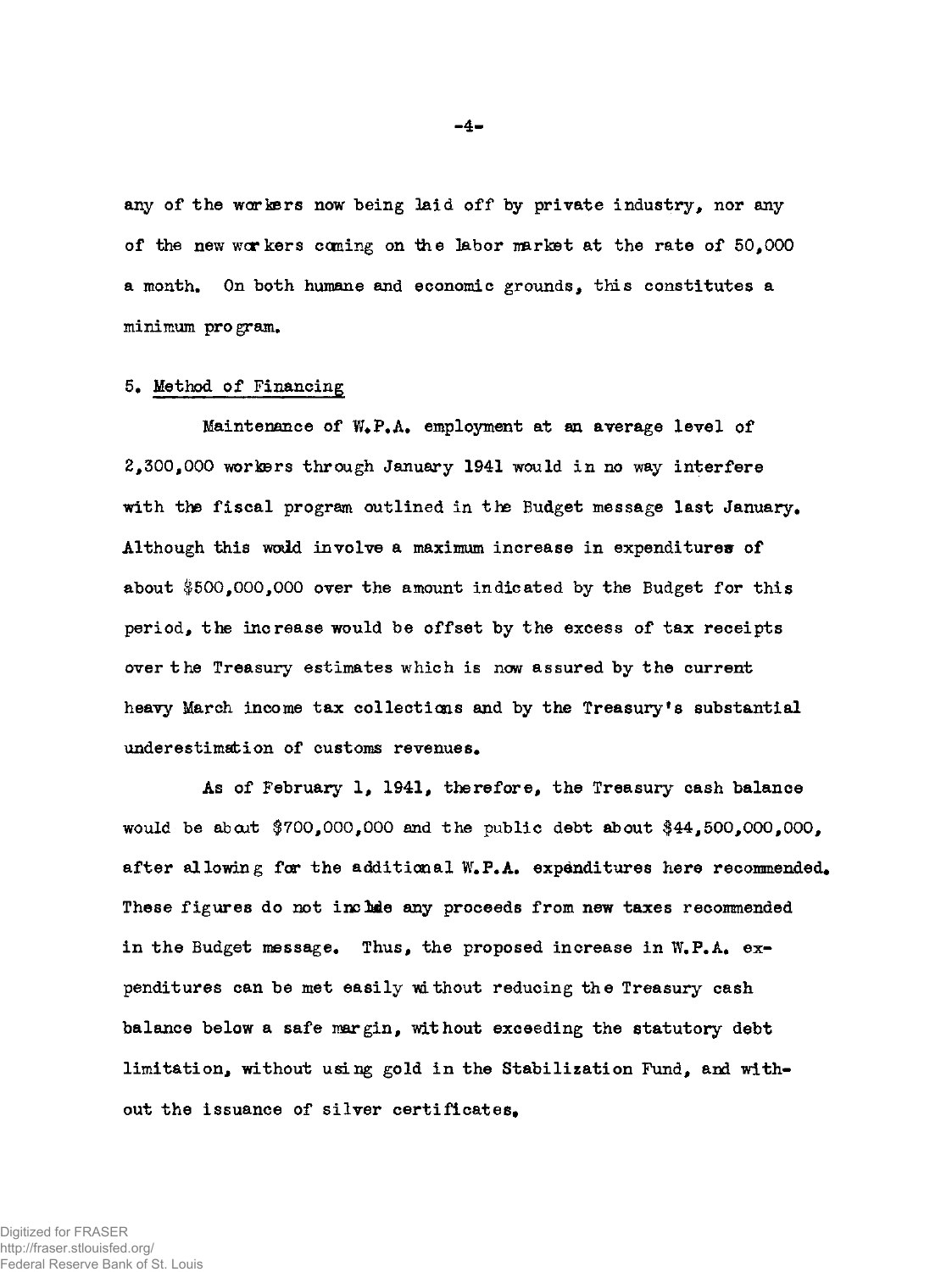**any of the workers now being laid off by private industry, nor any of the new workers coming on ihe labor market at the rate of 50,000 a month. On both humane and economic grounds, this constitutes a minimum program.** 

### **5. Method of Financing**

Maintenance of W.P.A. employment at an average level of **2,300,000 workers through January 1941 would in no way interfere with the fiscal program outlined in the Budget message last January. Although this wodd involve a maximum increase in expenditures of about \$500,000,000 over the amount indicated by the Budget for this period, the increase would be offset by the excess of tax receipts over the Treasury estimates which is now assured by the current heavy March income tax collections and by the Treasury\*s substantial**  underestimation of customs revenues.

**As of February 1, 1941, therefore, the Treasury cash balance would be about \$700,000,000 and the public debt about #44,500,000,000,**  after allowing for the additional W.P.A. expenditures here recommended. These figures do not include any proceeds from new taxes recommended in the Budget message. Thus, the proposed increase in W.P.A. ex**penditures can be met easily without reducing the Treasury cash balance below a safe margin, without exceeding the statutory debt limitation, without using gold in the Stabilization Fund, ard with**out the issuance of silver certificates.

**- 4 -**